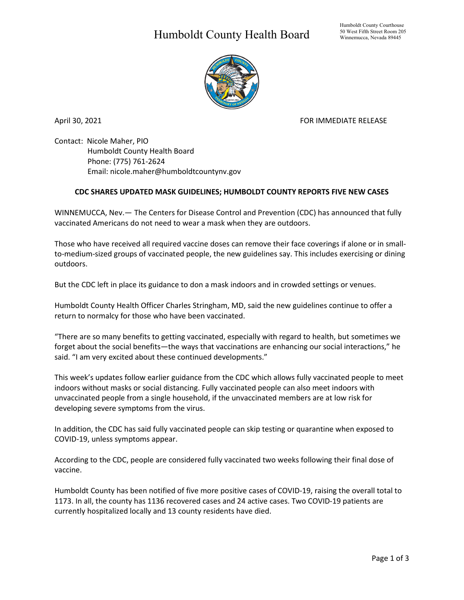## Humboldt County Health Board



April 30, 2021 **FOR IMMEDIATE RELEASE** 

Contact: Nicole Maher, PIO Humboldt County Health Board Phone: (775) 761-2624 Email: nicole.maher@humboldtcountynv.gov

## **CDC SHARES UPDATED MASK GUIDELINES; HUMBOLDT COUNTY REPORTS FIVE NEW CASES**

WINNEMUCCA, Nev.— The Centers for Disease Control and Prevention (CDC) has announced that fully vaccinated Americans do not need to wear a mask when they are outdoors.

Those who have received all required vaccine doses can remove their face coverings if alone or in smallto-medium-sized groups of vaccinated people, the new guidelines say. This includes exercising or dining outdoors.

But the CDC left in place its guidance to don a mask indoors and in crowded settings or venues.

Humboldt County Health Officer Charles Stringham, MD, said the new guidelines continue to offer a return to normalcy for those who have been vaccinated.

"There are so many benefits to getting vaccinated, especially with regard to health, but sometimes we forget about the social benefits—the ways that vaccinations are enhancing our social interactions," he said. "I am very excited about these continued developments."

This week's updates follow earlier guidance from the CDC which allows fully vaccinated people to meet indoors without masks or social distancing. Fully vaccinated people can also meet indoors with unvaccinated people from a single household, if the unvaccinated members are at low risk for developing severe symptoms from the virus.

In addition, the CDC has said fully vaccinated people can skip testing or quarantine when exposed to COVID-19, unless symptoms appear.

According to the CDC, people are considered fully vaccinated two weeks following their final dose of vaccine.

Humboldt County has been notified of five more positive cases of COVID-19, raising the overall total to 1173. In all, the county has 1136 recovered cases and 24 active cases. Two COVID-19 patients are currently hospitalized locally and 13 county residents have died.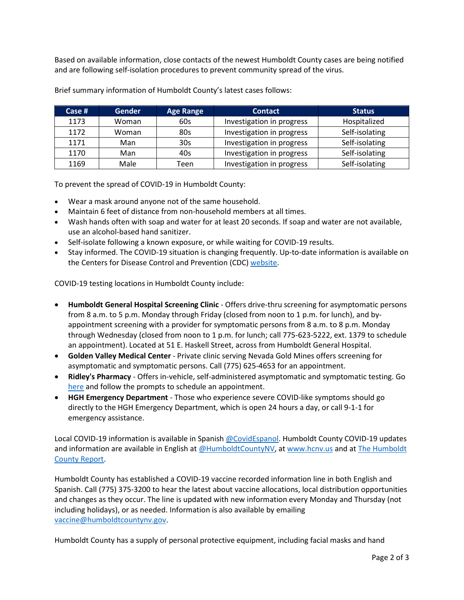Based on available information, close contacts of the newest Humboldt County cases are being notified and are following self-isolation procedures to prevent community spread of the virus.

| Case # | <b>Gender</b> | <b>Age Range</b> | <b>Contact</b>            | <b>Status</b>  |
|--------|---------------|------------------|---------------------------|----------------|
| 1173   | Woman         | 60s              | Investigation in progress | Hospitalized   |
| 1172   | Woman         | 80s              | Investigation in progress | Self-isolating |
| 1171   | Man           | 30 <sub>s</sub>  | Investigation in progress | Self-isolating |
| 1170   | Man           | 40s              | Investigation in progress | Self-isolating |
| 1169   | Male          | Teen             | Investigation in progress | Self-isolating |

Brief summary information of Humboldt County's latest cases follows:

To prevent the spread of COVID-19 in Humboldt County:

- Wear a mask around anyone not of the same household.
- Maintain 6 feet of distance from non-household members at all times.
- Wash hands often with soap and water for at least 20 seconds. If soap and water are not available, use an alcohol-based hand sanitizer.
- Self-isolate following a known exposure, or while waiting for COVID-19 results.
- Stay informed. The COVID-19 situation is changing frequently. Up-to-date information is available on the Centers for Disease Control and Prevention (CDC) [website.](http://www.cdc.gov/coronavirus/2019-ncov/index.html)

COVID-19 testing locations in Humboldt County include:

- **Humboldt General Hospital Screening Clinic** Offers drive-thru screening for asymptomatic persons from 8 a.m. to 5 p.m. Monday through Friday (closed from noon to 1 p.m. for lunch), and byappointment screening with a provider for symptomatic persons from 8 a.m. to 8 p.m. Monday through Wednesday (closed from noon to 1 p.m. for lunch; call 775-623-5222, ext. 1379 to schedule an appointment). Located at 51 E. Haskell Street, across from Humboldt General Hospital.
- **Golden Valley Medical Center** Private clinic serving Nevada Gold Mines offers screening for asymptomatic and symptomatic persons. Call (775) 625-4653 for an appointment.
- **Ridley's Pharmacy** Offers in-vehicle, self-administered asymptomatic and symptomatic testing. Go [here](https://www.doineedacovid19test.com/Winnemucca_NV_1098.html) and follow the prompts to schedule an appointment.
- **HGH Emergency Department**  Those who experience severe COVID-like symptoms should go directly to the HGH Emergency Department, which is open 24 hours a day, or call 9-1-1 for emergency assistance.

Local COVID-19 information is available in Spanish [@CovidEspanol.](https://www.facebook.com/CovidEspanol) Humboldt County COVID-19 updates and information are available in English at [@HumboldtCountyNV,](https://www.facebook.com/humboldtcountynv) at [www.hcnv.us](http://www.hcnv.us/) and at The Humboldt [County Report.](https://spark.adobe.com/page/llU1h2xbgNKeR/)

Humboldt County has established a COVID-19 vaccine recorded information line in both English and Spanish. Call (775) 375-3200 to hear the latest about vaccine allocations, local distribution opportunities and changes as they occur. The line is updated with new information every Monday and Thursday (not including holidays), or as needed. Information is also available by emailing [vaccine@humboldtcountynv.gov.](mailto:vaccine@humboldtcountynv.gov)

Humboldt County has a supply of personal protective equipment, including facial masks and hand